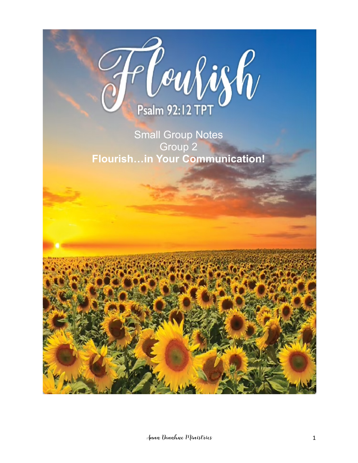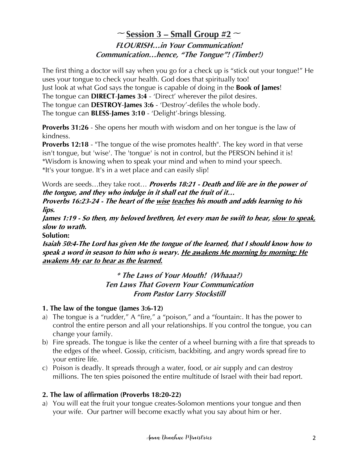# $\sim$  **<u>Session 3 – Small Group #2</u>**  $\sim$ **FLOURISH…in Your Communication! Communication…hence, "The Tongue"! (Timber!)**

The first thing a doctor will say when you go for a check up is "stick out your tongue!" He uses your tongue to check your health. God does that spiritually too! Just look at what God says the tongue is capable of doing in the **Book of James**! The tongue can **DIRECT**-**James 3:4** - 'Direct' wherever the pilot desires. The tongue can **DESTROY**-**James 3:6** - 'Destroy'-defiles the whole body. The tongue can **BLESS**-**James 3:10** - 'Delight'-brings blessing.

**Proverbs 31:26** - She opens her mouth with wisdom and on her tongue is the law of kindness.

**Proverbs 12:18** - "The tongue of the wise promotes health". The key word in that verse isn't tongue, but 'wise'. The 'tongue' is not in control, but the PERSON behind it is! \*Wisdom is knowing when to speak your mind and when to mind your speech. \*It's your tongue. It's in a wet place and can easily slip!

Words are seeds…they take root… **Proverbs 18:21 - Death and life are in the power of the tongue, and they who indulge in it shall eat the fruit of it… Proverbs 16:23-24 - The heart of the wise teaches his mouth and adds learning to his lips.**

**James 1:19 - So then, my beloved brethren, let every man be swift to hear, slow to speak, slow to wrath.**

**Solution:**

**Isaiah 50:4-The Lord has given Me the tongue of the learned, that I should know how to speak a word in season to him who is weary. He awakens Me morning by morning; He awakens My ear to hear as the learned.**

# **\* The Laws of Your Mouth! (Whaaa?) Ten Laws That Govern Your Communication From Pastor Larry Stockstill**

# **1. The law of the tongue (James 3:6-12)**

- a) The tongue is a "rudder," A "fire," a "poison," and a "fountain:. It has the power to control the entire person and all your relationships. If you control the tongue, you can change your family.
- b) Fire spreads. The tongue is like the center of a wheel burning with a fire that spreads to the edges of the wheel. Gossip, criticism, backbiting, and angry words spread fire to your entire life.
- c) Poison is deadly. It spreads through a water, food, or air supply and can destroy millions. The ten spies poisoned the entire multitude of Israel with their bad report.

# **2. The law of affirmation (Proverbs 18:20-22)**

a) You will eat the fruit your tongue creates-Solomon mentions your tongue and then your wife. Our partner will become exactly what you say about him or her.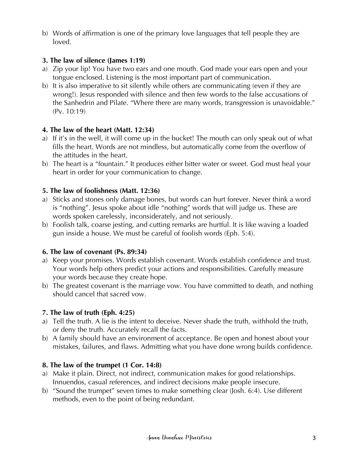b) Words of affirmation is one of the primary love languages that tell people they are loved.

### **3. The law of silence (James 1:19)**

- a) Zip your lip! You have two ears and one mouth. God made your ears open and your tongue enclosed. Listening is the most important part of communication.
- b) It is also imperative to sit silently while others are communicating (even if they are wrong!). Jesus responded with silence and then few words to the false accusations of the Sanhedrin and Pilate. "Where there are many words, transgression is unavoidable." (Pv. 10:19)

### **4. The law of the heart (Matt. 12:34)**

- a) If it's in the well, it will come up in the bucket! The mouth can only speak out of what fills the heart. Words are not mindless, but automatically come from the overflow of the attitudes in the heart.
- b) The heart is a "fountain." It produces either bitter water or sweet. God must heal your heart in order for your communication to change.

### **5. The law of foolishness (Matt. 12:36)**

- a) Sticks and stones only damage bones, but words can hurt forever. Never think a word is "nothing". Jesus spoke about idle "nothing" words that will judge us. These are words spoken carelessly, inconsiderately, and not seriously.
- b) Foolish talk, coarse jesting, and cutting remarks are hurtful. It is like waving a loaded gun inside a house. We must be careful of foolish words (Eph. 5:4).

# **6. The law of covenant (Ps. 89:34)**

- a) Keep your promises. Words establish covenant. Words establish confidence and trust. Your words help others predict your actions and responsibilities. Carefully measure your words because they create hope.
- b) The greatest covenant is the marriage vow. You have committed to death, and nothing should cancel that sacred vow.

# **7. The law of truth (Eph. 4:25)**

- a) Tell the truth. A lie is the intent to deceive. Never shade the truth, withhold the truth, or deny the truth. Accurately recall the facts.
- b) A family should have an environment of acceptance. Be open and honest about your mistakes, failures, and flaws. Admitting what you have done wrong builds confidence.

#### **8. The law of the trumpet (1 Cor. 14:8)**

- a) Make it plain. Direct, not indirect, communication makes for good relationships. Innuendos, casual references, and indirect decisions make people insecure.
- b) "Sound the trumpet" seven times to make something clear (Josh. 6:4). Use different methods, even to the point of being redundant.